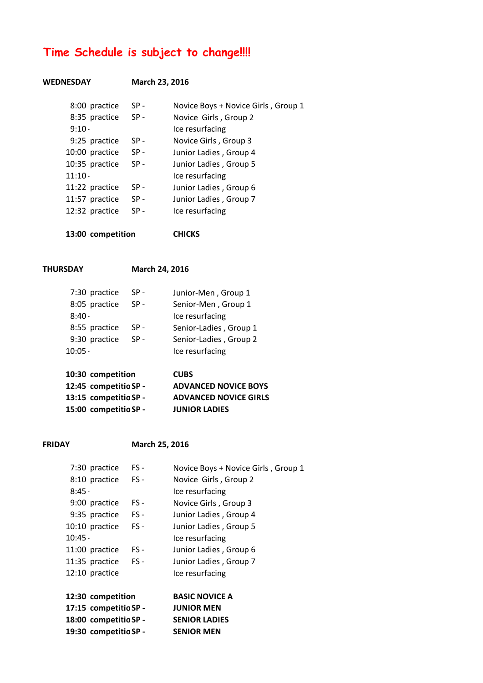# **Time Schedule is subject to change!!!!**

### **WEDNESDAY March 23, 2016**

| 8:00 practice  | $SP -$ | Novice Boys + Novice Girls, Group 1 |
|----------------|--------|-------------------------------------|
| 8:35 practice  | $SP -$ | Novice Girls, Group 2               |
| $9:10 -$       |        | Ice resurfacing                     |
| 9:25 practice  | $SP -$ | Novice Girls, Group 3               |
| 10:00 practice | $SP -$ | Junior Ladies, Group 4              |
| 10:35 practice | $SP -$ | Junior Ladies, Group 5              |
| $11:10 -$      |        | Ice resurfacing                     |
| 11:22 practice | $SP -$ | Junior Ladies, Group 6              |
| 11:57 practice | $SP -$ | Junior Ladies, Group 7              |
| 12:32 practice | $SP -$ | Ice resurfacing                     |
|                |        |                                     |

**13:00-competition CHICKS**

**THURSDAY March 24, 2016**

| 15:00 competitio SP -                                               |        | <b>JUNIOR LADIES</b>         |
|---------------------------------------------------------------------|--------|------------------------------|
| 10:30 competition<br>12:45 competitio SP -<br>13:15 competitio SP - |        | <b>ADVANCED NOVICE GIRLS</b> |
|                                                                     |        | <b>ADVANCED NOVICE BOYS</b>  |
|                                                                     |        | <b>CUBS</b>                  |
| $10:05 -$                                                           |        | Ice resurfacing              |
|                                                                     |        |                              |
| 9:30 practice                                                       | $SP -$ | Senior-Ladies, Group 2       |
| 8:55 practice                                                       | $SP -$ | Senior-Ladies, Group 1       |
| $8:40 -$                                                            |        | Ice resurfacing              |
| 8:05 practice                                                       | $SP -$ | Senior-Men, Group 1          |
| 7:30 practice                                                       | $SP -$ | Junior-Men, Group 1          |

### **FRIDAY March 25, 2016**

| 7:30 practice         | $FS -$ | Novice Boys + Novice Girls, Group 1 |
|-----------------------|--------|-------------------------------------|
| 8:10 practice         | FS-    | Novice Girls, Group 2               |
| $8:45 -$              |        | Ice resurfacing                     |
| 9:00 practice         | FS-    | Novice Girls, Group 3               |
| 9:35 practice         | $FS -$ | Junior Ladies, Group 4              |
| 10:10 practice        | $FS -$ | Junior Ladies, Group 5              |
| $10:45 -$             |        | Ice resurfacing                     |
| 11:00 practice        | $FS -$ | Junior Ladies, Group 6              |
| 11:35 practice        | $FS -$ | Junior Ladies, Group 7              |
| 12:10 practice        |        | Ice resurfacing                     |
|                       |        |                                     |
| 12:30 competition     |        | <b>BASIC NOVICE A</b>               |
| 17:15 competitio SP - |        | <b>JUNIOR MEN</b>                   |
| 18:00 competitio SP - |        | <b>SENIOR LADIES</b>                |
| 19:30 competitio SP - |        | <b>SENIOR MEN</b>                   |